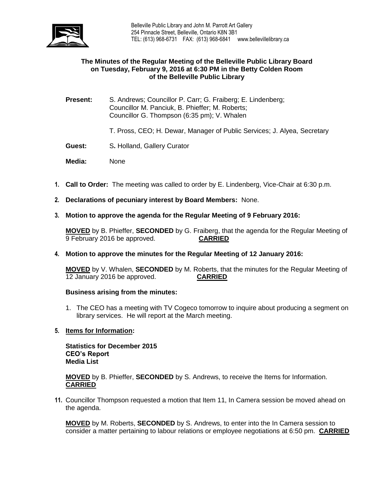

## **The Minutes of the Regular Meeting of the Belleville Public Library Board on Tuesday, February 9, 2016 at 6:30 PM in the Betty Colden Room of the Belleville Public Library**

**Present:** S. Andrews; Councillor P. Carr; G. Fraiberg; E. Lindenberg; Councillor M. Panciuk, B. Phieffer; M. Roberts; Councillor G. Thompson (6:35 pm); V. Whalen

T. Pross, CEO; H. Dewar, Manager of Public Services; J. Alyea, Secretary

- **Guest:** S**.** Holland, Gallery Curator
- **Media:** None
- **1. Call to Order:** The meeting was called to order by E. Lindenberg, Vice-Chair at 6:30 p.m.
- **2. Declarations of pecuniary interest by Board Members:** None.

#### **3. Motion to approve the agenda for the Regular Meeting of 9 February 2016:**

**MOVED** by B. Phieffer, **SECONDED** by G. Fraiberg, that the agenda for the Regular Meeting of 9 February 2016 be approved. **CARRIED**

#### **4. Motion to approve the minutes for the Regular Meeting of 12 January 2016:**

**MOVED** by V. Whalen, **SECONDED** by M. Roberts, that the minutes for the Regular Meeting of 12 January 2016 be approved. **CARRIED**

#### **Business arising from the minutes:**

1. The CEO has a meeting with TV Cogeco tomorrow to inquire about producing a segment on library services. He will report at the March meeting.

# **5. Items for Information:**

**Statistics for December 2015 CEO's Report Media List**

**MOVED** by B. Phieffer, **SECONDED** by S. Andrews, to receive the Items for Information. **CARRIED**

**11.** Councillor Thompson requested a motion that Item 11, In Camera session be moved ahead on the agenda.

**MOVED** by M. Roberts, **SECONDED** by S. Andrews, to enter into the In Camera session to consider a matter pertaining to labour relations or employee negotiations at 6:50 pm. **CARRIED**